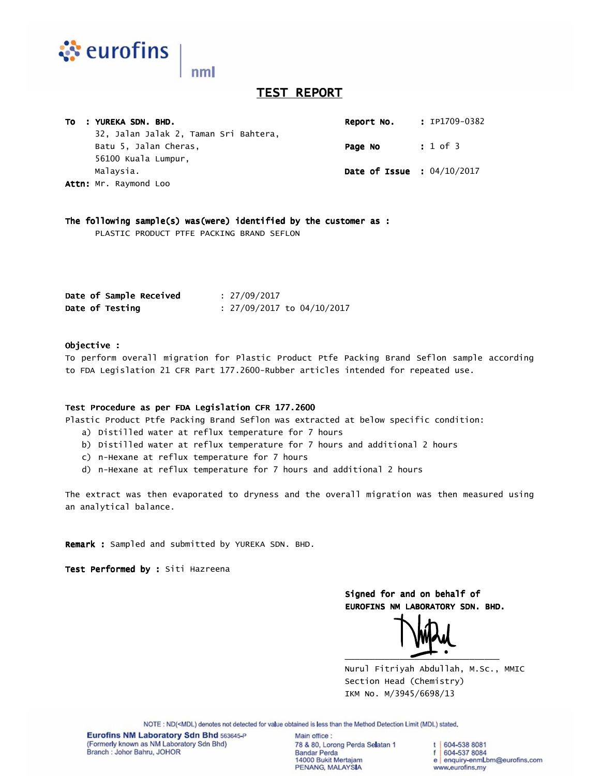

# **TEST REPORT**

| TO : YUREKA SDN. BHD.<br>Report No.   | : IP1709-0382                                  |
|---------------------------------------|------------------------------------------------|
| 32, Jalan Jalak 2, Taman Sri Bahtera, |                                                |
| Batu 5, Jalan Cheras,<br>Page No      | : 1 of 3                                       |
| 56100 Kuala Lumpur,                   |                                                |
| Malaysia.                             | <b>Date of Issue : <math>04/10/2017</math></b> |
| Attn: Mr. Raymond Loo                 |                                                |

The following sample(s) was(were) identified by the customer as :

PLASTIC PRODUCT PTFE PACKING BRAND SEFLON

| Date of Sample Received | : 27/09/2017                 |
|-------------------------|------------------------------|
| Date of Testing         | $: 27/09/2017$ to 04/10/2017 |

### Objective : :

To perform overall migration for Plastic Product Ptfe Packing Brand Seflon sample according to FDA Legislation 21 CFR Part 177.2600-Rubber articles intended for repeated use.

#### Test Procedure as per FDA Legislation CFR 177.2600

Plastic Product Ptfe Packing Brand Seflon was extracted at below specific condition:

- a) Distilled water at reflux temperature for 7 hours
- b) Distilled water at reflux temperature for 7 hours and additional 2 hours
- c) n-Hexane at reflux temperature for 7 hours
- d) n-Hexane at reflux temperature for 7 hours and additional 2 hours

The extract was then evaporated to dryness and the overall migration was then measured using an analytical balance.

Remark : Sampled and submitted by YUREKA SDN. BHD.

Test Performed by : Siti Hazreena

Signed for and on behalf of EUROFINS NM LABORATORY SDN. BHD.

 $\overline{\phantom{a}}$ 

 Nurul Fitriyah Abdullah, M.Sc., MMIC Section Head (Chemistry) IKM No. M/3945/6698/13

NOTE: ND(<MDL) denotes not detected for value obtained is less than the Method Detection Limit (MDL) stated.

Eurofins NM Laboratory Sdn Bhd 563645-P (Formerly known as NM Laboratory Sdn Bhd) Branch: Johor Bahru, JOHOR

Main office: 78 & 80, Lorong Perda Selatan 1 **Bandar Perda** 14000 Bukit Mertajam PENANG, MALAYSIA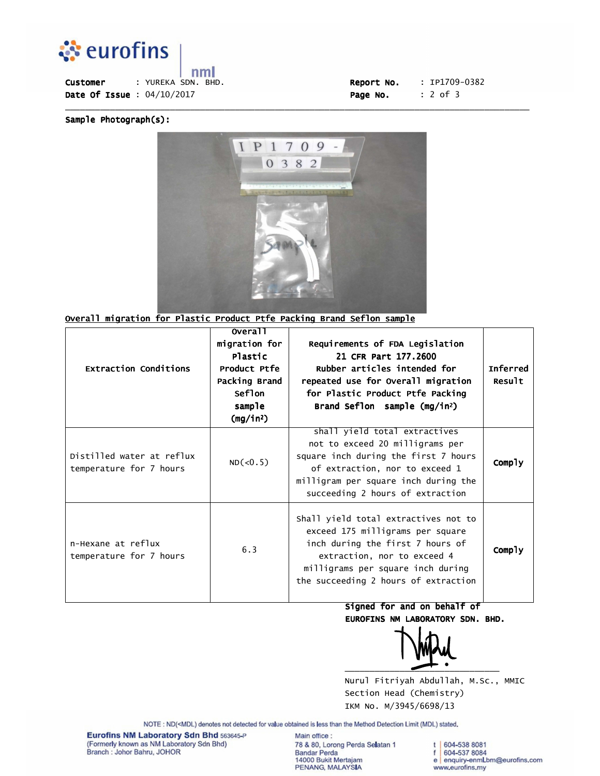

 $nm<sub>l</sub>$ Customer : YUREKA SDN. BHD. Date Of Issue :  $04/10/2017$ 

| Report No. | $: IP1709-0382$ |
|------------|-----------------|
| Page No.   | $: 2$ of 3      |

Sample Photograph(s):



\_\_\_\_\_\_\_\_\_\_\_\_\_\_\_\_\_\_\_\_\_\_\_\_\_\_\_\_\_\_\_\_\_\_\_\_\_\_\_\_\_\_\_\_\_\_\_\_\_\_\_\_\_\_\_\_\_\_\_\_\_\_\_\_\_\_\_\_\_\_\_\_\_\_\_\_\_\_\_\_\_\_\_\_\_\_\_\_\_\_\_\_\_

## Overall migration for Plastic Product Ptfe Packing Brand Seflon sample

| <b>Extraction Conditions</b>                         | overall<br>migration for<br>Plastic<br>Product Ptfe<br>Packing Brand<br><b>Seflon</b><br>sample<br>$(mg/in^2)$ | Requirements of FDA Legislation<br>21 CFR Part 177.2600<br>Rubber articles intended for<br>repeated use for Overall migration<br>for Plastic Product Ptfe Packing<br>Brand Seflon sample (mg/in <sup>2</sup> )           | <b>Inferred</b><br>Result |
|------------------------------------------------------|----------------------------------------------------------------------------------------------------------------|--------------------------------------------------------------------------------------------------------------------------------------------------------------------------------------------------------------------------|---------------------------|
| Distilled water at reflux<br>temperature for 7 hours | ND(<0.5)                                                                                                       | shall yield total extractives<br>not to exceed 20 milligrams per<br>square inch during the first 7 hours<br>of extraction, nor to exceed 1<br>milligram per square inch during the<br>succeeding 2 hours of extraction   | Comply                    |
| n-Hexane at reflux<br>temperature for 7 hours        | 6.3                                                                                                            | Shall yield total extractives not to<br>exceed 175 milligrams per square<br>inch during the first 7 hours of<br>extraction, nor to exceed 4<br>milligrams per square inch during<br>the succeeding 2 hours of extraction | Comply                    |

Signed for and on behalf of EUROFINS NM LABORATORY SDN. BHD.

 $\overbrace{\phantom{xxxxx}}$ 

 Nurul Fitriyah Abdullah, M.Sc., MMIC Section Head (Chemistry) IKM No. M/3945/6698/13

NOTE: ND(<MDL) denotes not detected for value obtained is less than the Method Detection Limit (MDL) stated.

Eurofins NM Laboratory Sdn Bhd 563645-P (Formerly known as NM Laboratory Sdn Bhd)<br>Branch : Johor Bahru, JOHOR

Main office : 78 & 80, Lorong Perda Selatan 1 Bandar Perda<br>14000 Bukit Mertajam PENANG, MALAYSIA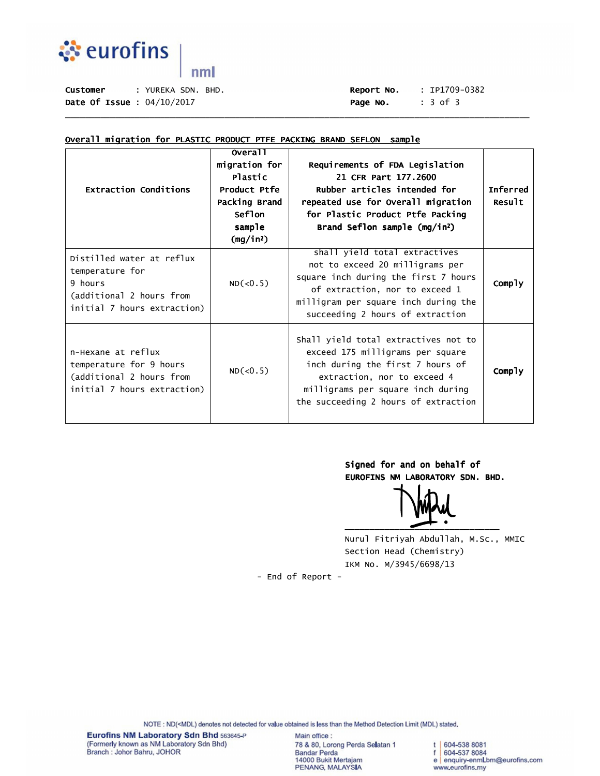

 $nml$ 

Date Of Issue : 04/10/2017 **Date Of Issue : 04/10/2017 Page No.** : 3 of 3

# Customer : YUREKA SDN. BHD. Report No. : IP1709-0382

### Overall migration for PLASTIC PRODUCT PTFE PACKING BRAND SEFLON sample

| <b>Extraction Conditions</b>                                                                                       | <b>overall</b><br>migration for<br>Plastic<br>Product Ptfe<br>Packing Brand<br><b>Seflon</b><br>sample<br>(mg/in <sup>2</sup> ) | Requirements of FDA Legislation<br>21 CFR Part 177.2600<br>Rubber articles intended for<br>repeated use for Overall migration<br>for Plastic Product Ptfe Packing<br>Brand Seflon sample (mg/in <sup>2</sup> )           | Inferred<br>Result |
|--------------------------------------------------------------------------------------------------------------------|---------------------------------------------------------------------------------------------------------------------------------|--------------------------------------------------------------------------------------------------------------------------------------------------------------------------------------------------------------------------|--------------------|
| Distilled water at reflux<br>temperature for<br>9 hours<br>(additional 2 hours from<br>initial 7 hours extraction) | ND(<0.5)                                                                                                                        | shall yield total extractives<br>not to exceed 20 milligrams per<br>square inch during the first 7 hours<br>of extraction, nor to exceed 1<br>milligram per square inch during the<br>succeeding 2 hours of extraction   | Comply             |
| n-Hexane at reflux<br>temperature for 9 hours<br>(additional 2 hours from<br>initial 7 hours extraction)           | ND(<0.5)                                                                                                                        | Shall yield total extractives not to<br>exceed 175 milligrams per square<br>inch during the first 7 hours of<br>extraction, nor to exceed 4<br>milligrams per square inch during<br>the succeeding 2 hours of extraction | Comply             |

\_\_\_\_\_\_\_\_\_\_\_\_\_\_\_\_\_\_\_\_\_\_\_\_\_\_\_\_\_\_\_\_\_\_\_\_\_\_\_\_\_\_\_\_\_\_\_\_\_\_\_\_\_\_\_\_\_\_\_\_\_\_\_\_\_\_\_\_\_\_\_\_\_\_\_\_\_\_\_\_\_\_\_\_\_\_\_\_\_\_\_\_\_

Signed for and on behalf of

EUROFINS NM LABORATORY SDN. BHD.

\_\_\_\_\_\_\_\_\_\_\_\_\_\_\_\_\_\_\_\_\_\_\_\_\_\_\_\_\_\_\_

 Nurul Fitriyah Abdullah, M.Sc., MMIC Section Head (Chemistry) IKM No. M/3945/6698/13

- End of Report -

NOTE : ND(<MDL) denotes not detected for value obtained is less than the Method Detection Limit (MDL) stated.

Main office: 78 & 80, Lorong Perda Selatan 1 Bandar Perda<br>14000 Bukit Mertajam PENANG, MALAYSIA